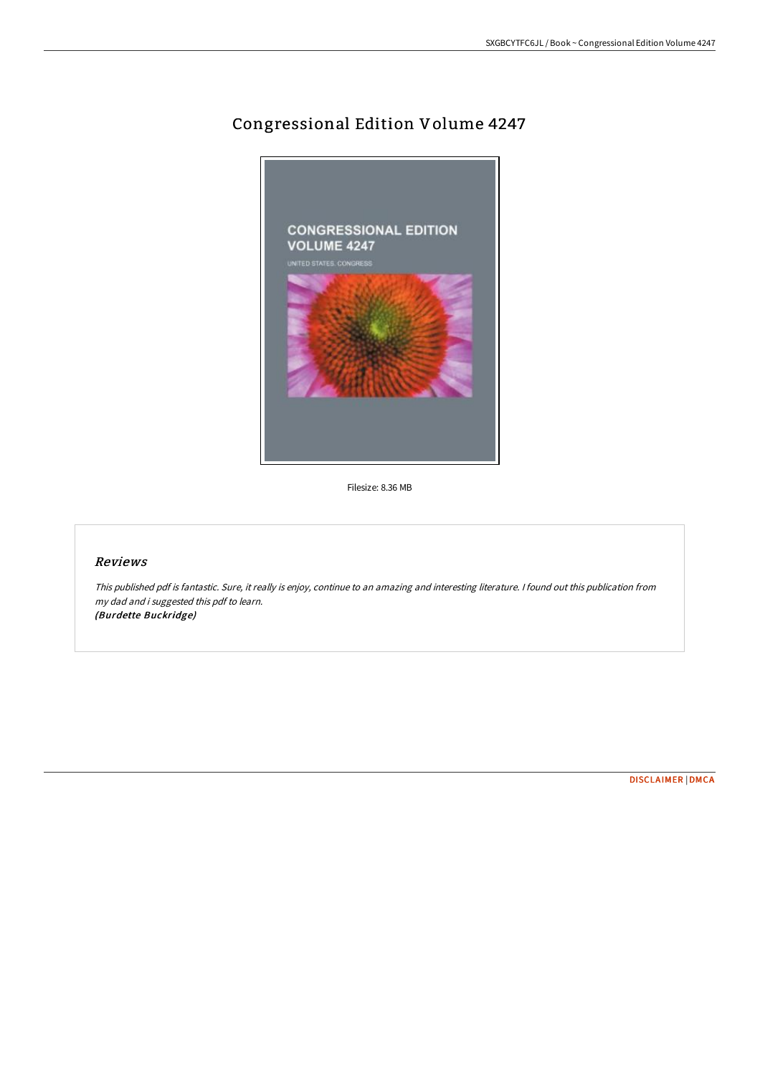## Congressional Edition Volume 4247



Filesize: 8.36 MB

## Reviews

This published pdf is fantastic. Sure, it really is enjoy, continue to an amazing and interesting literature. <sup>I</sup> found out this publication from my dad and i suggested this pdf to learn. (Burdette Buckridge)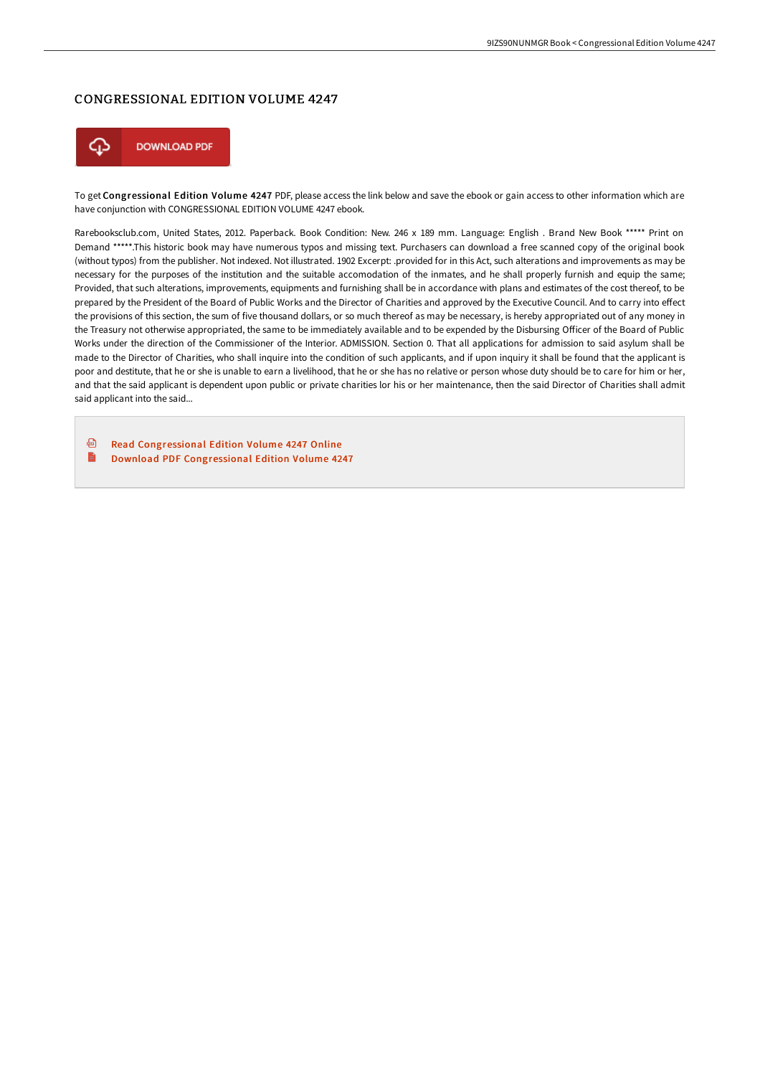## CONGRESSIONAL EDITION VOLUME 4247



To get Congressional Edition Volume 4247 PDF, please access the link below and save the ebook or gain access to other information which are have conjunction with CONGRESSIONAL EDITION VOLUME 4247 ebook.

Rarebooksclub.com, United States, 2012. Paperback. Book Condition: New. 246 x 189 mm. Language: English . Brand New Book \*\*\*\*\* Print on Demand \*\*\*\*\*.This historic book may have numerous typos and missing text. Purchasers can download a free scanned copy of the original book (without typos) from the publisher. Not indexed. Not illustrated. 1902 Excerpt: .provided for in this Act, such alterations and improvements as may be necessary for the purposes of the institution and the suitable accomodation of the inmates, and he shall properly furnish and equip the same; Provided, that such alterations, improvements, equipments and furnishing shall be in accordance with plans and estimates of the cost thereof, to be prepared by the President of the Board of Public Works and the Director of Charities and approved by the Executive Council. And to carry into effect the provisions of this section, the sum of five thousand dollars, or so much thereof as may be necessary, is hereby appropriated out of any money in the Treasury not otherwise appropriated, the same to be immediately available and to be expended by the Disbursing Officer of the Board of Public Works under the direction of the Commissioner of the Interior. ADMISSION. Section 0. That all applications for admission to said asylum shall be made to the Director of Charities, who shall inquire into the condition of such applicants, and if upon inquiry it shall be found that the applicant is poor and destitute, that he or she is unable to earn a livelihood, that he or she has no relative or person whose duty should be to care for him or her, and that the said applicant is dependent upon public or private charities lor his or her maintenance, then the said Director of Charities shall admit said applicant into the said...

⊕ Read [Congressional](http://techno-pub.tech/congressional-edition-volume-4247-paperback.html) Edition Volume 4247 Online B Download PDF [Congressional](http://techno-pub.tech/congressional-edition-volume-4247-paperback.html) Edition Volume 4247